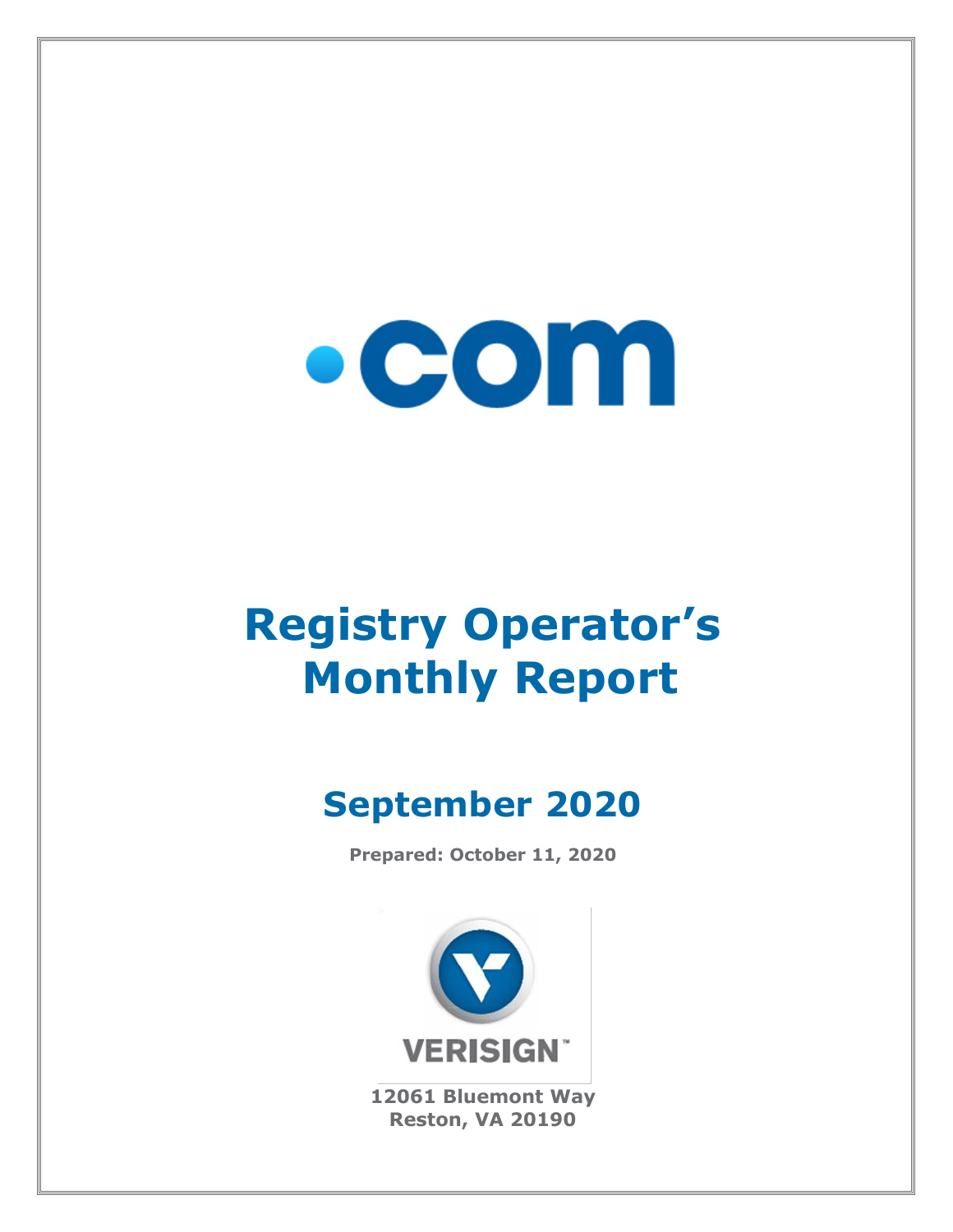

# **Registry Operator's Monthly Report**

# **September 2020**

**Prepared: October 11, 2020**



**12061 Bluemont Way Reston, VA 20190**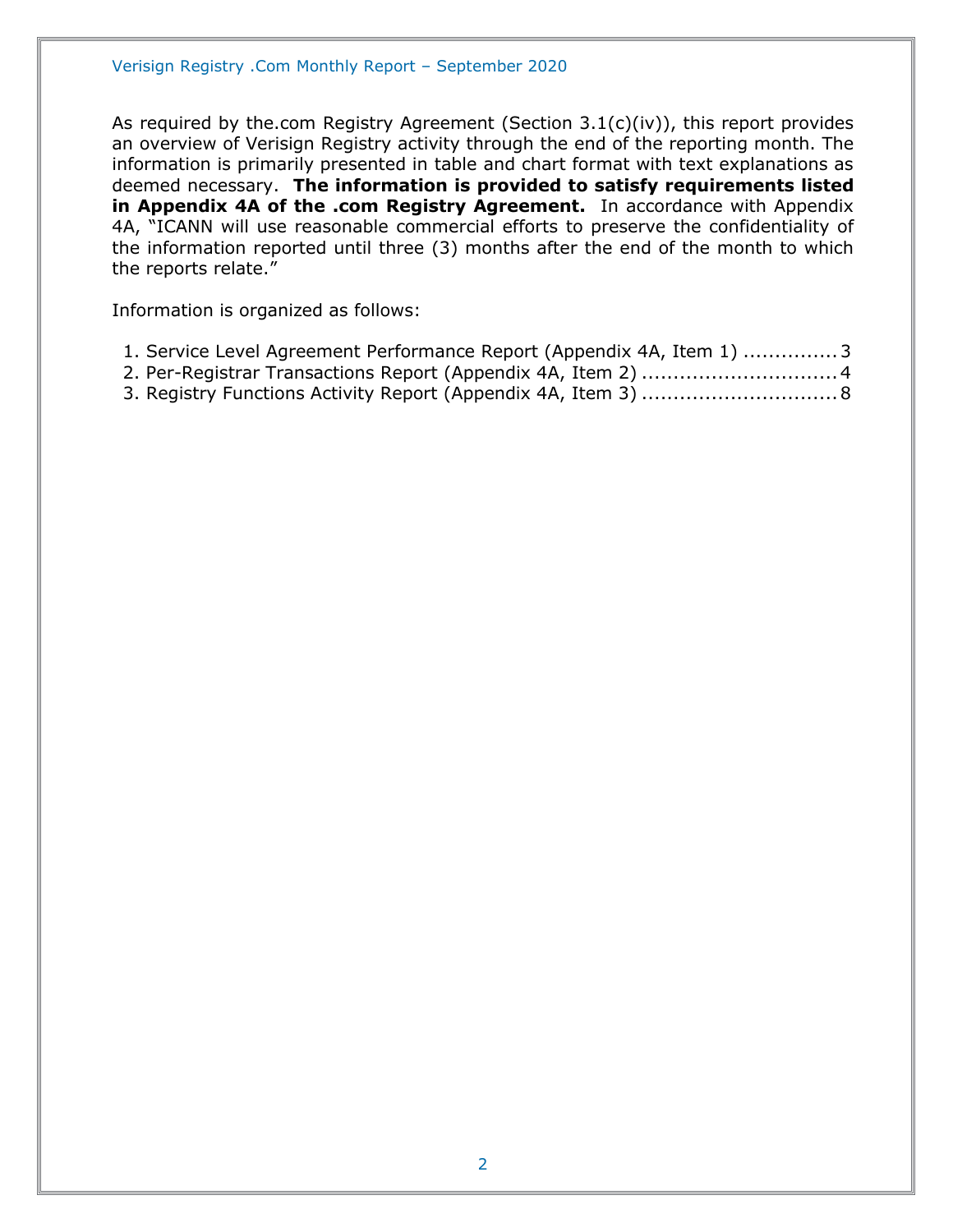As required by the.com Registry Agreement (Section 3.1(c)(iv)), this report provides an overview of Verisign Registry activity through the end of the reporting month. The information is primarily presented in table and chart format with text explanations as deemed necessary. **The information is provided to satisfy requirements listed in Appendix 4A of the .com Registry Agreement.** In accordance with Appendix 4A, "ICANN will use reasonable commercial efforts to preserve the confidentiality of the information reported until three (3) months after the end of the month to which the reports relate."

Information is organized as follows:

- [1. Service Level Agreement Performance Report \(Appendix 4A, Item 1\)](#page-2-0) ...............3
- [2. Per-Registrar Transactions Report \(Appendix 4A,](#page-3-0) Item 2) ...............................4
- [3. Registry Functions Activity Report \(Appendix 4A, Item 3\)](#page-7-0) ...............................8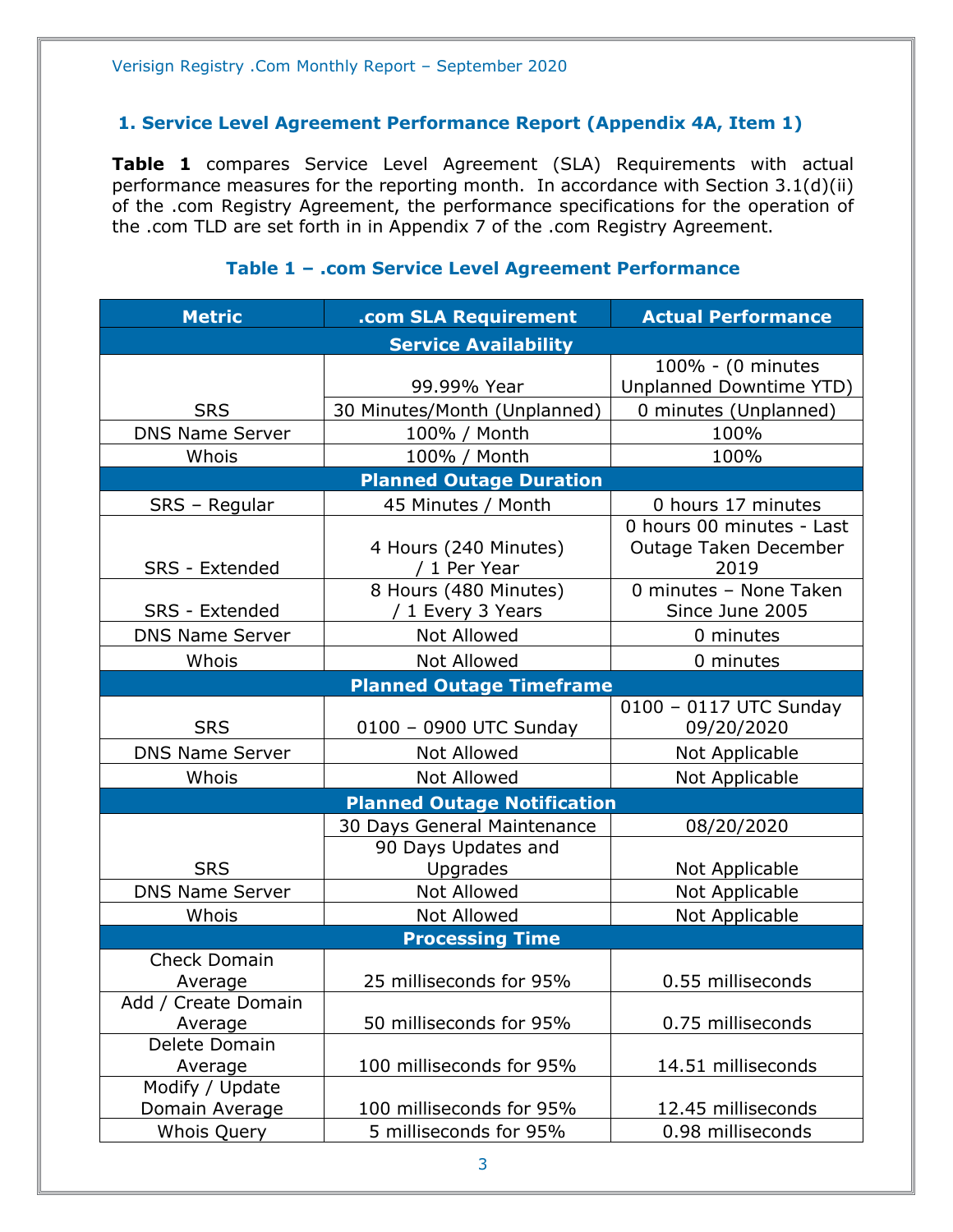### <span id="page-2-0"></span>**1. Service Level Agreement Performance Report (Appendix 4A, Item 1)**

**Table 1** compares Service Level Agreement (SLA) Requirements with actual performance measures for the reporting month. In accordance with Section 3.1(d)(ii) of the .com Registry Agreement, the performance specifications for the operation of the .com TLD are set forth in in Appendix 7 of the .com Registry Agreement.

| <b>Metric</b>                     | .com SLA Requirement                       | <b>Actual Performance</b>                                  |
|-----------------------------------|--------------------------------------------|------------------------------------------------------------|
|                                   | <b>Service Availability</b>                |                                                            |
|                                   |                                            | 100% - (0 minutes                                          |
|                                   | 99.99% Year                                | Unplanned Downtime YTD)                                    |
| <b>SRS</b>                        | 30 Minutes/Month (Unplanned)               | 0 minutes (Unplanned)                                      |
| <b>DNS Name Server</b>            | 100% / Month                               | 100%                                                       |
| Whois                             | 100% / Month                               | 100%                                                       |
|                                   | <b>Planned Outage Duration</b>             |                                                            |
| SRS - Regular                     | 45 Minutes / Month                         | 0 hours 17 minutes                                         |
| SRS - Extended                    | 4 Hours (240 Minutes)<br>/ 1 Per Year      | 0 hours 00 minutes - Last<br>Outage Taken December<br>2019 |
| <b>SRS</b> - Extended             | 8 Hours (480 Minutes)<br>/ 1 Every 3 Years | 0 minutes - None Taken<br>Since June 2005                  |
| <b>DNS Name Server</b>            | Not Allowed                                | 0 minutes                                                  |
| Whois                             | Not Allowed                                | 0 minutes                                                  |
| <b>Planned Outage Timeframe</b>   |                                            |                                                            |
|                                   |                                            | 0100 - 0117 UTC Sunday                                     |
| <b>SRS</b>                        | 0100 - 0900 UTC Sunday                     | 09/20/2020                                                 |
| <b>DNS Name Server</b>            | <b>Not Allowed</b>                         | Not Applicable                                             |
| Whois                             | Not Allowed                                | Not Applicable                                             |
|                                   | <b>Planned Outage Notification</b>         |                                                            |
|                                   | 30 Days General Maintenance                | 08/20/2020                                                 |
| <b>SRS</b>                        | 90 Days Updates and<br>Upgrades            | Not Applicable                                             |
| <b>DNS Name Server</b>            | Not Allowed                                | Not Applicable                                             |
| Whois                             | Not Allowed                                | Not Applicable                                             |
|                                   | <b>Processing Time</b>                     |                                                            |
| <b>Check Domain</b>               |                                            |                                                            |
| Average                           | 25 milliseconds for 95%                    | 0.55 milliseconds                                          |
| Add / Create Domain<br>Average    | 50 milliseconds for 95%                    | 0.75 milliseconds                                          |
| Delete Domain                     |                                            |                                                            |
| Average                           | 100 milliseconds for 95%                   | 14.51 milliseconds                                         |
| Modify / Update<br>Domain Average | 100 milliseconds for 95%                   | 12.45 milliseconds                                         |
| <b>Whois Query</b>                | 5 milliseconds for 95%                     | 0.98 milliseconds                                          |

## **Table 1 – .com Service Level Agreement Performance**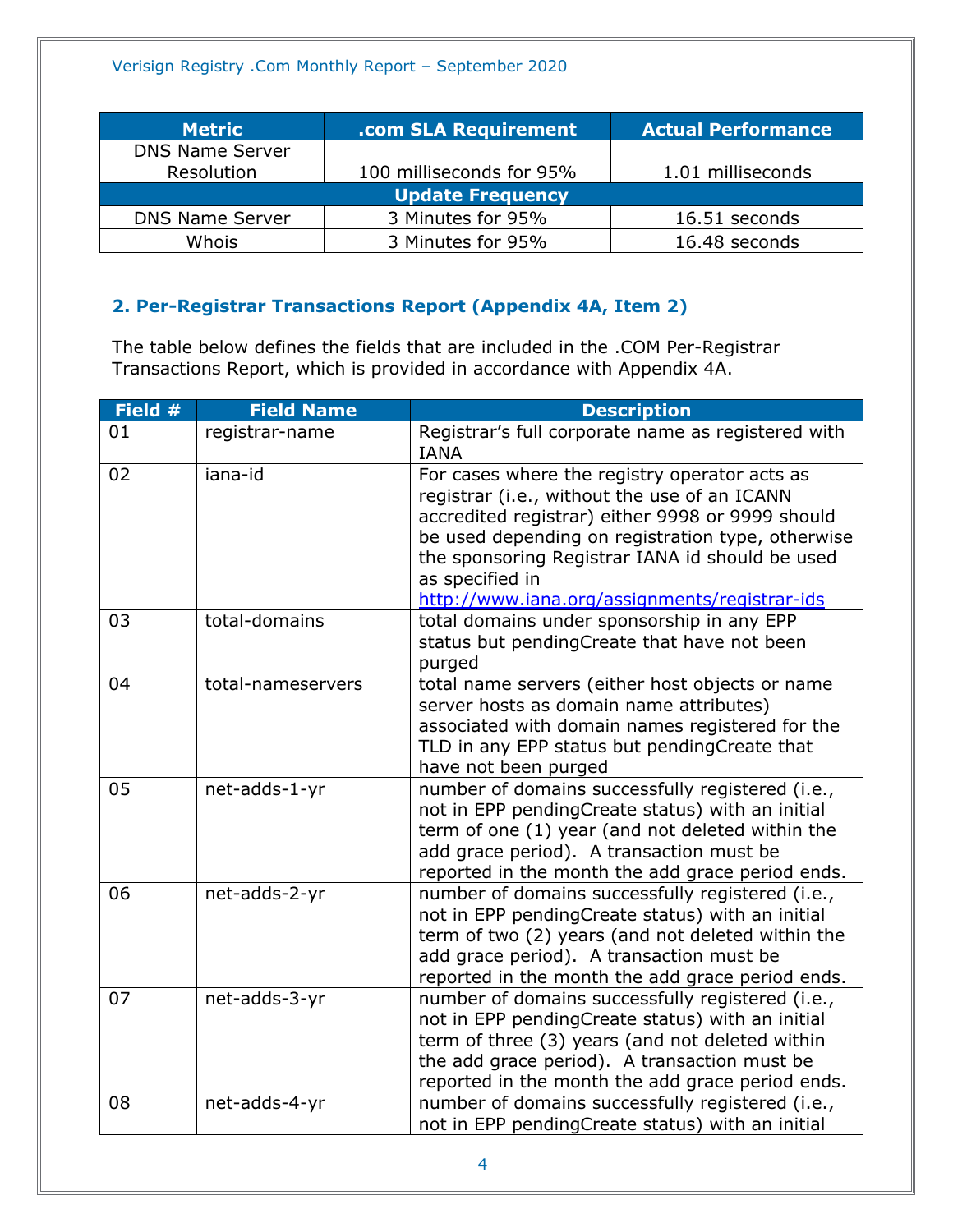| <b>Metric</b>           | .com SLA Requirement     | <b>Actual Performance</b> |
|-------------------------|--------------------------|---------------------------|
| <b>DNS Name Server</b>  |                          |                           |
| Resolution              | 100 milliseconds for 95% | 1.01 milliseconds         |
| <b>Update Frequency</b> |                          |                           |
| <b>DNS Name Server</b>  | 3 Minutes for 95%        | 16.51 seconds             |
| Whois                   | 3 Minutes for 95%        | 16.48 seconds             |

# <span id="page-3-0"></span>**2. Per-Registrar Transactions Report (Appendix 4A, Item 2)**

The table below defines the fields that are included in the .COM Per-Registrar Transactions Report, which is provided in accordance with Appendix 4A.

| Field # | <b>Field Name</b> | <b>Description</b>                                                                                                                                                                                                                                                                                                            |
|---------|-------------------|-------------------------------------------------------------------------------------------------------------------------------------------------------------------------------------------------------------------------------------------------------------------------------------------------------------------------------|
| 01      | registrar-name    | Registrar's full corporate name as registered with<br><b>IANA</b>                                                                                                                                                                                                                                                             |
| 02      | iana-id           | For cases where the registry operator acts as<br>registrar (i.e., without the use of an ICANN<br>accredited registrar) either 9998 or 9999 should<br>be used depending on registration type, otherwise<br>the sponsoring Registrar IANA id should be used<br>as specified in<br>http://www.iana.org/assignments/registrar-ids |
| 03      | total-domains     | total domains under sponsorship in any EPP<br>status but pendingCreate that have not been<br>purged                                                                                                                                                                                                                           |
| 04      | total-nameservers | total name servers (either host objects or name<br>server hosts as domain name attributes)<br>associated with domain names registered for the<br>TLD in any EPP status but pendingCreate that<br>have not been purged                                                                                                         |
| 05      | net-adds-1-yr     | number of domains successfully registered (i.e.,<br>not in EPP pendingCreate status) with an initial<br>term of one (1) year (and not deleted within the<br>add grace period). A transaction must be<br>reported in the month the add grace period ends.                                                                      |
| 06      | net-adds-2-yr     | number of domains successfully registered (i.e.,<br>not in EPP pendingCreate status) with an initial<br>term of two (2) years (and not deleted within the<br>add grace period). A transaction must be<br>reported in the month the add grace period ends.                                                                     |
| 07      | net-adds-3-yr     | number of domains successfully registered (i.e.,<br>not in EPP pendingCreate status) with an initial<br>term of three (3) years (and not deleted within<br>the add grace period). A transaction must be<br>reported in the month the add grace period ends.                                                                   |
| 08      | net-adds-4-yr     | number of domains successfully registered (i.e.,<br>not in EPP pendingCreate status) with an initial                                                                                                                                                                                                                          |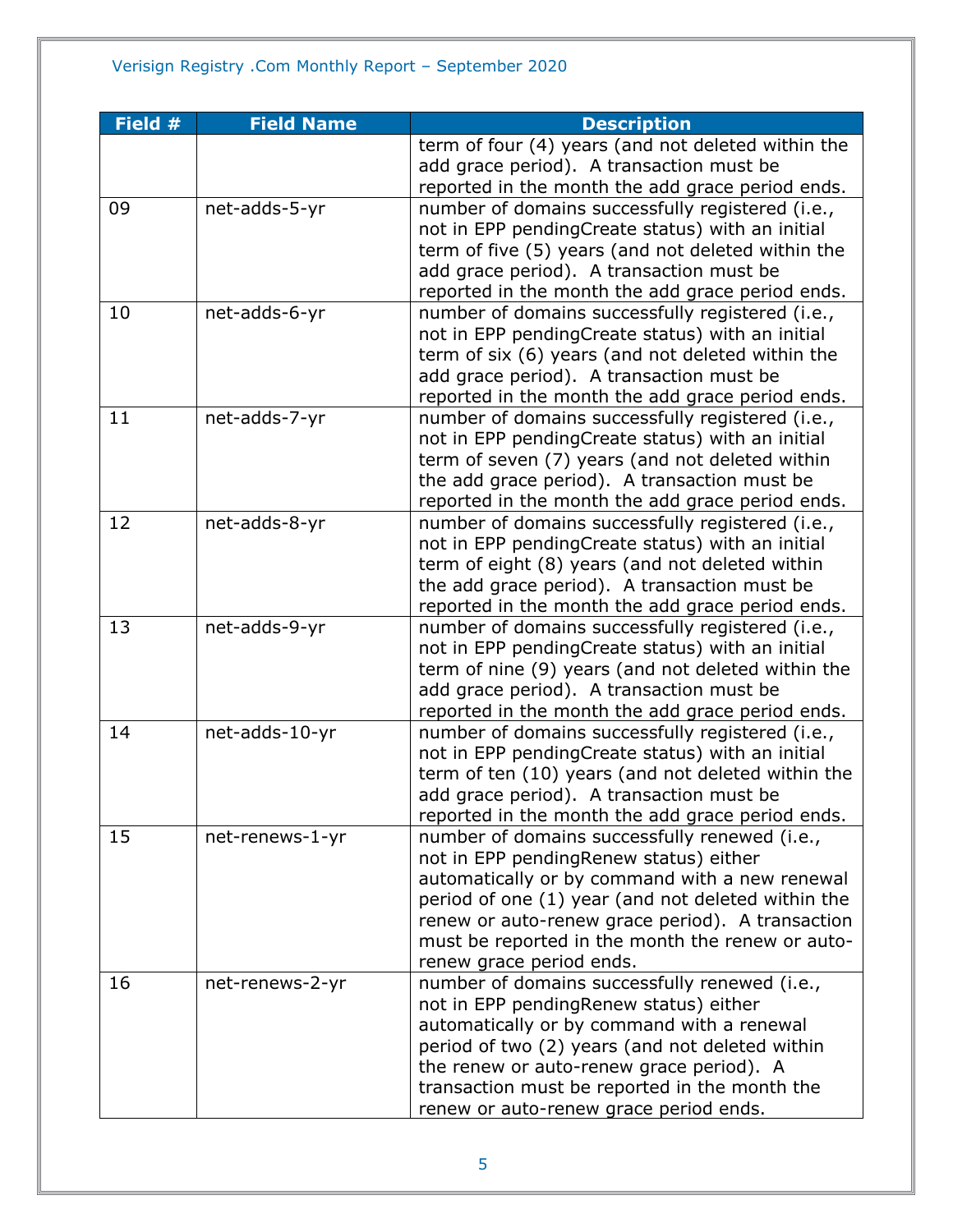| Field $#$ | <b>Field Name</b> | <b>Description</b>                                                        |
|-----------|-------------------|---------------------------------------------------------------------------|
|           |                   | term of four (4) years (and not deleted within the                        |
|           |                   | add grace period). A transaction must be                                  |
|           |                   | reported in the month the add grace period ends.                          |
| 09        | net-adds-5-yr     | number of domains successfully registered (i.e.,                          |
|           |                   | not in EPP pendingCreate status) with an initial                          |
|           |                   | term of five (5) years (and not deleted within the                        |
|           |                   | add grace period). A transaction must be                                  |
|           |                   | reported in the month the add grace period ends.                          |
| 10        | net-adds-6-yr     | number of domains successfully registered (i.e.,                          |
|           |                   | not in EPP pendingCreate status) with an initial                          |
|           |                   | term of six (6) years (and not deleted within the                         |
|           |                   | add grace period). A transaction must be                                  |
|           |                   | reported in the month the add grace period ends.                          |
| 11        | net-adds-7-yr     | number of domains successfully registered (i.e.,                          |
|           |                   | not in EPP pendingCreate status) with an initial                          |
|           |                   | term of seven (7) years (and not deleted within                           |
|           |                   | the add grace period). A transaction must be                              |
|           |                   | reported in the month the add grace period ends.                          |
| 12        | net-adds-8-yr     | number of domains successfully registered (i.e.,                          |
|           |                   | not in EPP pendingCreate status) with an initial                          |
|           |                   | term of eight (8) years (and not deleted within                           |
|           |                   | the add grace period). A transaction must be                              |
|           |                   | reported in the month the add grace period ends.                          |
| 13        | net-adds-9-yr     | number of domains successfully registered (i.e.,                          |
|           |                   | not in EPP pendingCreate status) with an initial                          |
|           |                   | term of nine (9) years (and not deleted within the                        |
|           |                   | add grace period). A transaction must be                                  |
|           |                   | reported in the month the add grace period ends.                          |
| 14        | net-adds-10-yr    | number of domains successfully registered (i.e.,                          |
|           |                   | not in EPP pendingCreate status) with an initial                          |
|           |                   | term of ten (10) years (and not deleted within the                        |
|           |                   | add grace period). A transaction must be                                  |
|           |                   | reported in the month the add grace period ends.                          |
| 15        | net-renews-1-yr   | number of domains successfully renewed (i.e.,                             |
|           |                   | not in EPP pendingRenew status) either                                    |
|           |                   | automatically or by command with a new renewal                            |
|           |                   | period of one (1) year (and not deleted within the                        |
|           |                   | renew or auto-renew grace period). A transaction                          |
|           |                   | must be reported in the month the renew or auto-                          |
| 16        | net-renews-2-yr   | renew grace period ends.<br>number of domains successfully renewed (i.e., |
|           |                   | not in EPP pendingRenew status) either                                    |
|           |                   | automatically or by command with a renewal                                |
|           |                   | period of two (2) years (and not deleted within                           |
|           |                   | the renew or auto-renew grace period). A                                  |
|           |                   | transaction must be reported in the month the                             |
|           |                   | renew or auto-renew grace period ends.                                    |
|           |                   |                                                                           |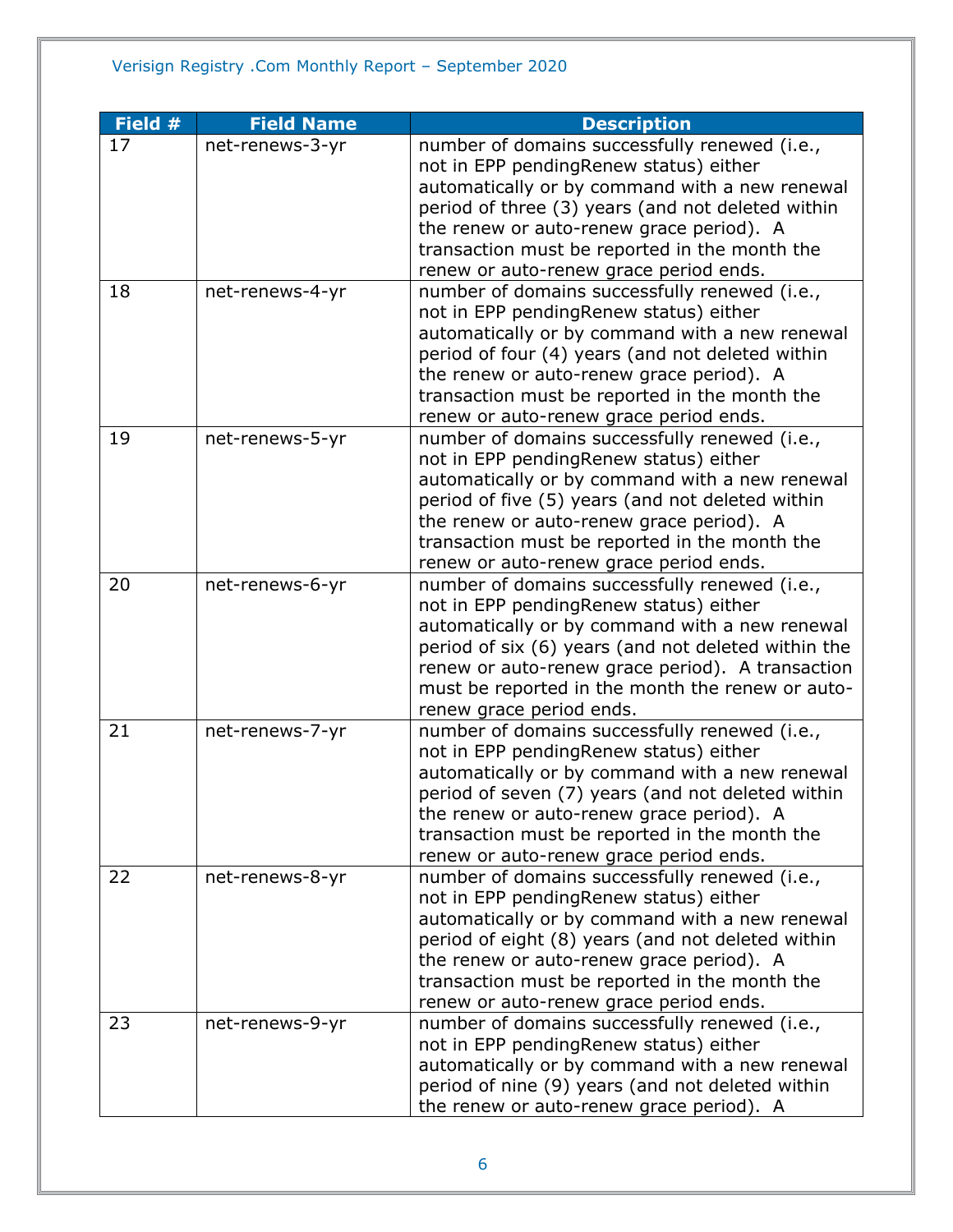| Field # | <b>Field Name</b> | <b>Description</b>                                                                                      |
|---------|-------------------|---------------------------------------------------------------------------------------------------------|
| 17      | net-renews-3-yr   | number of domains successfully renewed (i.e.,                                                           |
|         |                   | not in EPP pendingRenew status) either                                                                  |
|         |                   | automatically or by command with a new renewal                                                          |
|         |                   | period of three (3) years (and not deleted within                                                       |
|         |                   | the renew or auto-renew grace period). A                                                                |
|         |                   | transaction must be reported in the month the                                                           |
|         |                   | renew or auto-renew grace period ends.                                                                  |
| 18      | net-renews-4-yr   | number of domains successfully renewed (i.e.,                                                           |
|         |                   | not in EPP pendingRenew status) either                                                                  |
|         |                   | automatically or by command with a new renewal                                                          |
|         |                   | period of four (4) years (and not deleted within                                                        |
|         |                   | the renew or auto-renew grace period). A                                                                |
|         |                   | transaction must be reported in the month the                                                           |
|         |                   | renew or auto-renew grace period ends.                                                                  |
| 19      | net-renews-5-yr   | number of domains successfully renewed (i.e.,                                                           |
|         |                   | not in EPP pendingRenew status) either                                                                  |
|         |                   | automatically or by command with a new renewal                                                          |
|         |                   | period of five (5) years (and not deleted within                                                        |
|         |                   | the renew or auto-renew grace period). A                                                                |
|         |                   | transaction must be reported in the month the                                                           |
|         |                   | renew or auto-renew grace period ends.                                                                  |
| 20      | net-renews-6-yr   | number of domains successfully renewed (i.e.,                                                           |
|         |                   | not in EPP pendingRenew status) either                                                                  |
|         |                   | automatically or by command with a new renewal                                                          |
|         |                   | period of six (6) years (and not deleted within the<br>renew or auto-renew grace period). A transaction |
|         |                   | must be reported in the month the renew or auto-                                                        |
|         |                   | renew grace period ends.                                                                                |
| 21      | net-renews-7-yr   | number of domains successfully renewed (i.e.,                                                           |
|         |                   | not in EPP pendingRenew status) either                                                                  |
|         |                   | automatically or by command with a new renewal                                                          |
|         |                   | period of seven (7) years (and not deleted within                                                       |
|         |                   | the renew or auto-renew grace period). A                                                                |
|         |                   | transaction must be reported in the month the                                                           |
|         |                   | renew or auto-renew grace period ends.                                                                  |
| 22      | net-renews-8-yr   | number of domains successfully renewed (i.e.,                                                           |
|         |                   | not in EPP pendingRenew status) either                                                                  |
|         |                   | automatically or by command with a new renewal                                                          |
|         |                   | period of eight (8) years (and not deleted within                                                       |
|         |                   | the renew or auto-renew grace period). A                                                                |
|         |                   | transaction must be reported in the month the                                                           |
|         |                   | renew or auto-renew grace period ends.                                                                  |
| 23      | net-renews-9-yr   | number of domains successfully renewed (i.e.,                                                           |
|         |                   | not in EPP pendingRenew status) either                                                                  |
|         |                   | automatically or by command with a new renewal                                                          |
|         |                   | period of nine (9) years (and not deleted within                                                        |
|         |                   | the renew or auto-renew grace period). A                                                                |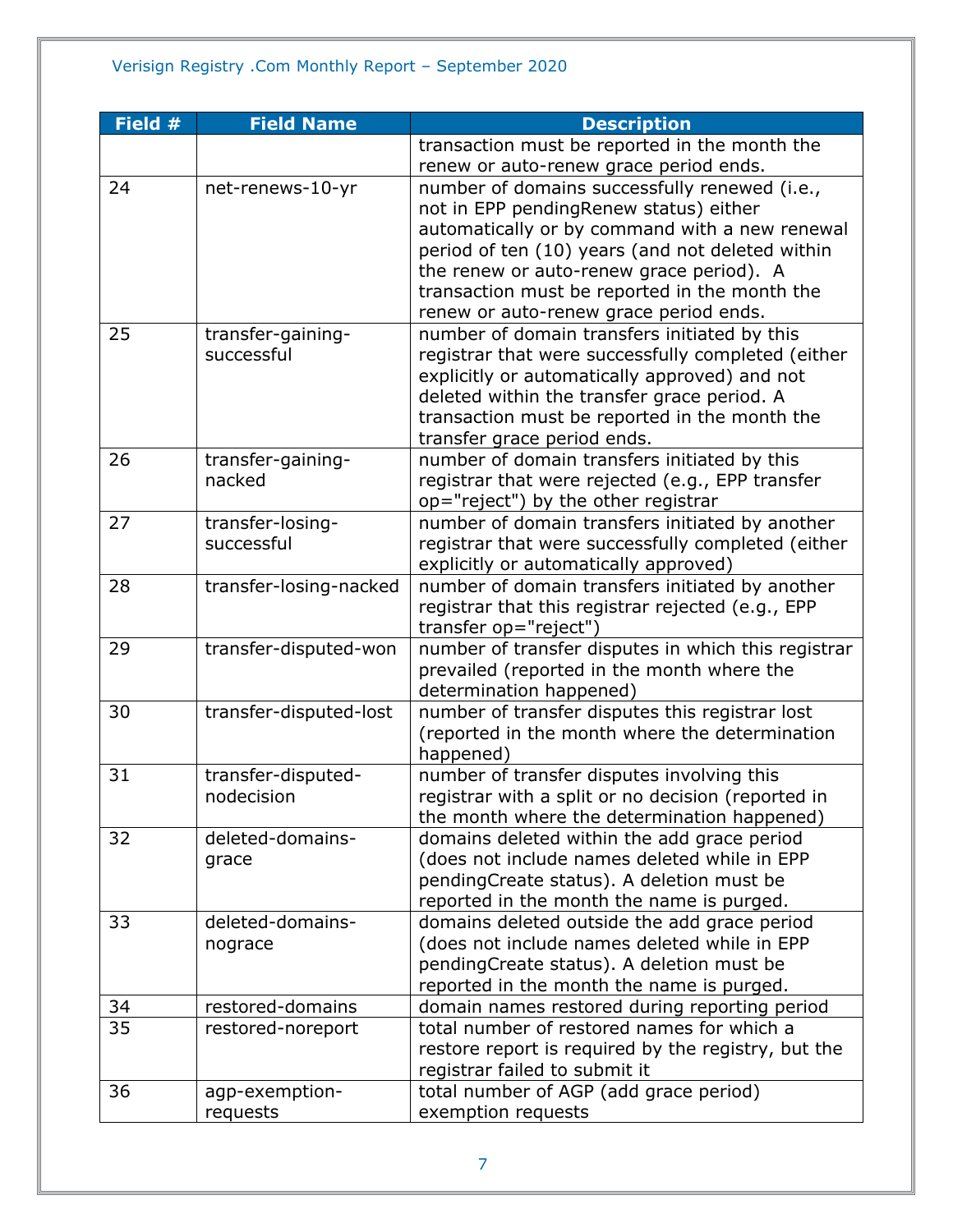| Field # | <b>Field Name</b>      | <b>Description</b>                                  |
|---------|------------------------|-----------------------------------------------------|
|         |                        | transaction must be reported in the month the       |
|         |                        | renew or auto-renew grace period ends.              |
| 24      | net-renews-10-yr       | number of domains successfully renewed (i.e.,       |
|         |                        | not in EPP pendingRenew status) either              |
|         |                        | automatically or by command with a new renewal      |
|         |                        | period of ten (10) years (and not deleted within    |
|         |                        | the renew or auto-renew grace period). A            |
|         |                        | transaction must be reported in the month the       |
|         |                        | renew or auto-renew grace period ends.              |
| 25      | transfer-gaining-      | number of domain transfers initiated by this        |
|         | successful             | registrar that were successfully completed (either  |
|         |                        | explicitly or automatically approved) and not       |
|         |                        | deleted within the transfer grace period. A         |
|         |                        | transaction must be reported in the month the       |
|         |                        | transfer grace period ends.                         |
| 26      | transfer-gaining-      | number of domain transfers initiated by this        |
|         | nacked                 | registrar that were rejected (e.g., EPP transfer    |
|         |                        | op="reject") by the other registrar                 |
| 27      | transfer-losing-       | number of domain transfers initiated by another     |
|         | successful             | registrar that were successfully completed (either  |
|         |                        | explicitly or automatically approved)               |
| 28      | transfer-losing-nacked | number of domain transfers initiated by another     |
|         |                        | registrar that this registrar rejected (e.g., EPP   |
|         |                        | transfer op="reject")                               |
| 29      | transfer-disputed-won  | number of transfer disputes in which this registrar |
|         |                        | prevailed (reported in the month where the          |
|         |                        | determination happened)                             |
| 30      | transfer-disputed-lost | number of transfer disputes this registrar lost     |
|         |                        | (reported in the month where the determination      |
|         |                        | happened)                                           |
| 31      | transfer-disputed-     | number of transfer disputes involving this          |
|         | nodecision             | registrar with a split or no decision (reported in  |
|         |                        | the month where the determination happened)         |
| 32      | deleted-domains-       | domains deleted within the add grace period         |
|         | grace                  | (does not include names deleted while in EPP        |
|         |                        | pendingCreate status). A deletion must be           |
|         |                        | reported in the month the name is purged.           |
| 33      | deleted-domains-       | domains deleted outside the add grace period        |
|         | nograce                | (does not include names deleted while in EPP        |
|         |                        | pendingCreate status). A deletion must be           |
|         |                        | reported in the month the name is purged.           |
| 34      | restored-domains       | domain names restored during reporting period       |
| 35      | restored-noreport      | total number of restored names for which a          |
|         |                        | restore report is required by the registry, but the |
|         |                        | registrar failed to submit it                       |
| 36      | agp-exemption-         | total number of AGP (add grace period)              |
|         | requests               | exemption requests                                  |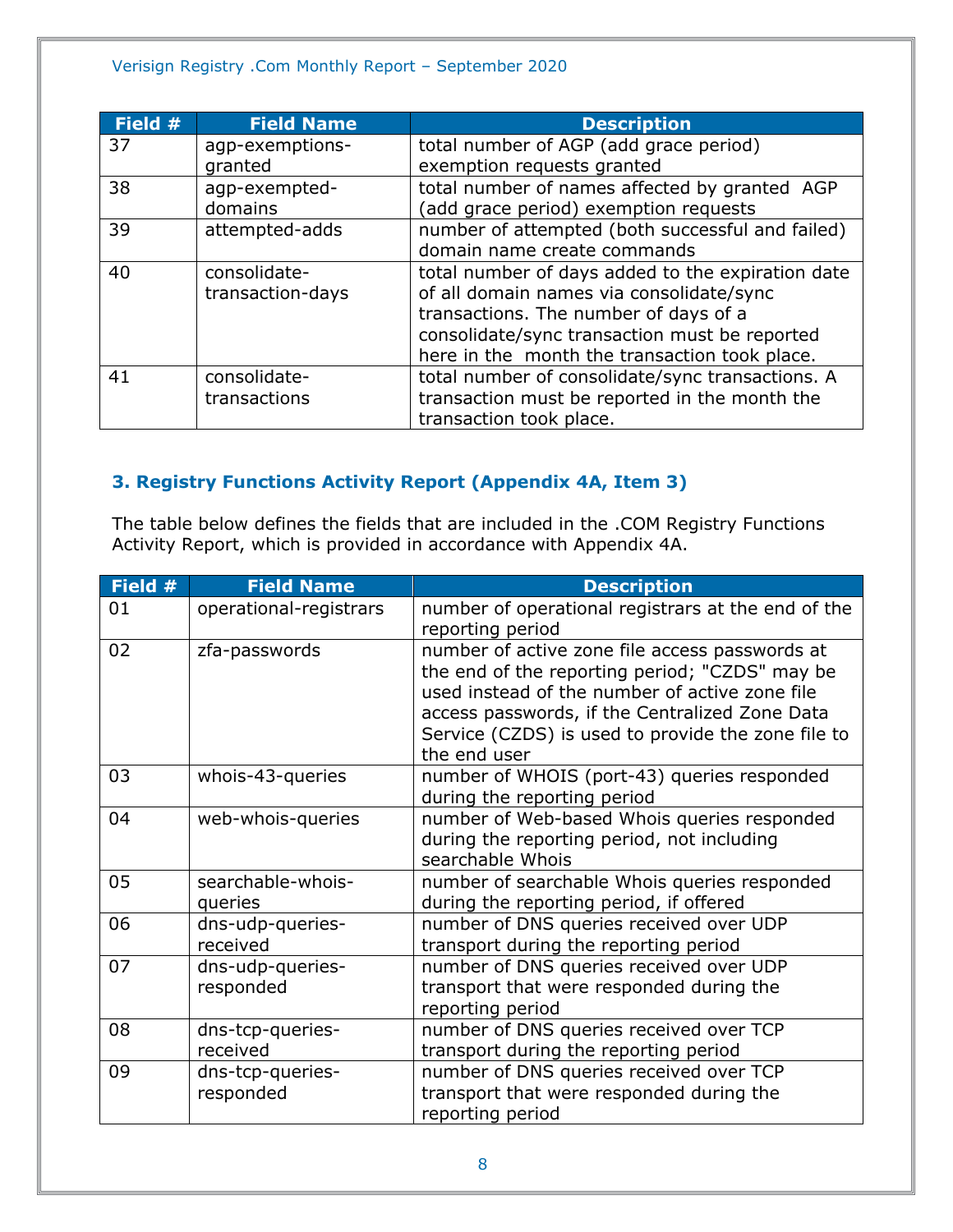| Field # | <b>Field Name</b> | <b>Description</b>                                |
|---------|-------------------|---------------------------------------------------|
| 37      | agp-exemptions-   | total number of AGP (add grace period)            |
|         | granted           | exemption requests granted                        |
| 38      | agp-exempted-     | total number of names affected by granted AGP     |
|         | domains           | (add grace period) exemption requests             |
| 39      | attempted-adds    | number of attempted (both successful and failed)  |
|         |                   | domain name create commands                       |
| 40      | consolidate-      | total number of days added to the expiration date |
|         | transaction-days  | of all domain names via consolidate/sync          |
|         |                   | transactions. The number of days of a             |
|         |                   | consolidate/sync transaction must be reported     |
|         |                   | here in the month the transaction took place.     |
| 41      | consolidate-      | total number of consolidate/sync transactions. A  |
|         | transactions      | transaction must be reported in the month the     |
|         |                   | transaction took place.                           |

# <span id="page-7-0"></span>**3. Registry Functions Activity Report (Appendix 4A, Item 3)**

The table below defines the fields that are included in the .COM Registry Functions Activity Report, which is provided in accordance with Appendix 4A.

| Field # | <b>Field Name</b>             | <b>Description</b>                                                                                                                                                                                                                                                         |
|---------|-------------------------------|----------------------------------------------------------------------------------------------------------------------------------------------------------------------------------------------------------------------------------------------------------------------------|
| 01      | operational-registrars        | number of operational registrars at the end of the<br>reporting period                                                                                                                                                                                                     |
| 02      | zfa-passwords                 | number of active zone file access passwords at<br>the end of the reporting period; "CZDS" may be<br>used instead of the number of active zone file<br>access passwords, if the Centralized Zone Data<br>Service (CZDS) is used to provide the zone file to<br>the end user |
| 03      | whois-43-queries              | number of WHOIS (port-43) queries responded<br>during the reporting period                                                                                                                                                                                                 |
| 04      | web-whois-queries             | number of Web-based Whois queries responded<br>during the reporting period, not including<br>searchable Whois                                                                                                                                                              |
| 05      | searchable-whois-<br>queries  | number of searchable Whois queries responded<br>during the reporting period, if offered                                                                                                                                                                                    |
| 06      | dns-udp-queries-<br>received  | number of DNS queries received over UDP<br>transport during the reporting period                                                                                                                                                                                           |
| 07      | dns-udp-queries-<br>responded | number of DNS queries received over UDP<br>transport that were responded during the<br>reporting period                                                                                                                                                                    |
| 08      | dns-tcp-queries-<br>received  | number of DNS queries received over TCP<br>transport during the reporting period                                                                                                                                                                                           |
| 09      | dns-tcp-queries-<br>responded | number of DNS queries received over TCP<br>transport that were responded during the<br>reporting period                                                                                                                                                                    |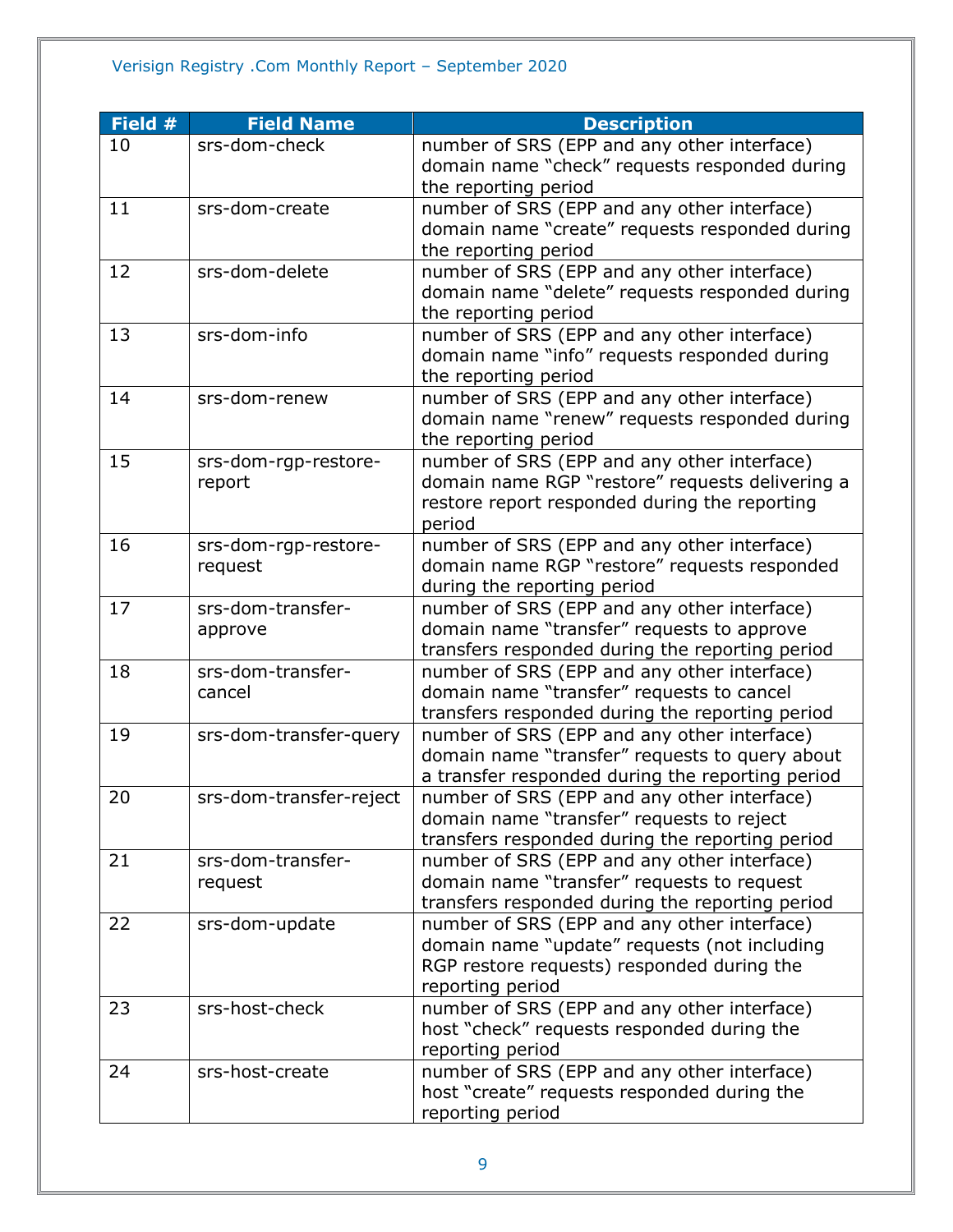| Field # | <b>Field Name</b>       | <b>Description</b>                               |
|---------|-------------------------|--------------------------------------------------|
| 10      | srs-dom-check           | number of SRS (EPP and any other interface)      |
|         |                         | domain name "check" requests responded during    |
|         |                         | the reporting period                             |
| 11      | srs-dom-create          | number of SRS (EPP and any other interface)      |
|         |                         | domain name "create" requests responded during   |
|         |                         | the reporting period                             |
| 12      | srs-dom-delete          | number of SRS (EPP and any other interface)      |
|         |                         | domain name "delete" requests responded during   |
|         |                         | the reporting period                             |
| 13      | srs-dom-info            | number of SRS (EPP and any other interface)      |
|         |                         | domain name "info" requests responded during     |
|         |                         | the reporting period                             |
| 14      | srs-dom-renew           | number of SRS (EPP and any other interface)      |
|         |                         | domain name "renew" requests responded during    |
|         |                         | the reporting period                             |
| 15      | srs-dom-rgp-restore-    | number of SRS (EPP and any other interface)      |
|         | report                  | domain name RGP "restore" requests delivering a  |
|         |                         | restore report responded during the reporting    |
|         |                         | period                                           |
| 16      | srs-dom-rgp-restore-    | number of SRS (EPP and any other interface)      |
|         | request                 | domain name RGP "restore" requests responded     |
|         |                         | during the reporting period                      |
| 17      | srs-dom-transfer-       | number of SRS (EPP and any other interface)      |
|         | approve                 | domain name "transfer" requests to approve       |
|         |                         | transfers responded during the reporting period  |
| 18      | srs-dom-transfer-       | number of SRS (EPP and any other interface)      |
|         | cancel                  | domain name "transfer" requests to cancel        |
|         |                         | transfers responded during the reporting period  |
| 19      | srs-dom-transfer-query  | number of SRS (EPP and any other interface)      |
|         |                         | domain name "transfer" requests to query about   |
|         |                         | a transfer responded during the reporting period |
| 20      | srs-dom-transfer-reject | number of SRS (EPP and any other interface)      |
|         |                         | domain name "transfer" requests to reject        |
|         |                         | transfers responded during the reporting period  |
| 21      | srs-dom-transfer-       | number of SRS (EPP and any other interface)      |
|         | request                 | domain name "transfer" requests to request       |
|         |                         | transfers responded during the reporting period  |
| 22      | srs-dom-update          | number of SRS (EPP and any other interface)      |
|         |                         | domain name "update" requests (not including     |
|         |                         | RGP restore requests) responded during the       |
|         |                         | reporting period                                 |
| 23      | srs-host-check          | number of SRS (EPP and any other interface)      |
|         |                         | host "check" requests responded during the       |
|         |                         | reporting period                                 |
| 24      | srs-host-create         | number of SRS (EPP and any other interface)      |
|         |                         | host "create" requests responded during the      |
|         |                         | reporting period                                 |